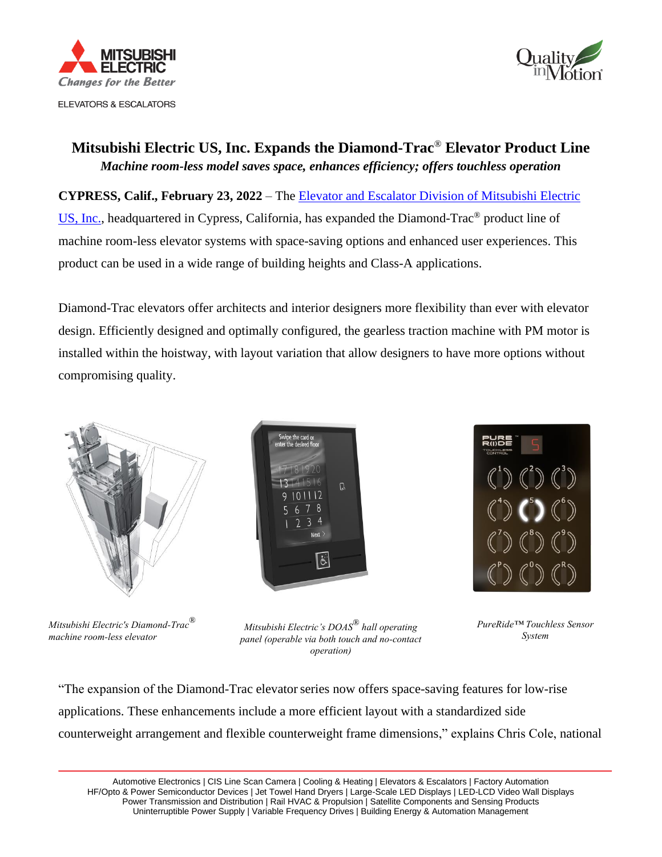



## **Mitsubishi Electric US, Inc. Expands the Diamond-Trac**® **Elevator Product Line** *Machine room-less model saves space, enhances efficiency; offers touchless operation*

**CYPRESS, Calif., February 23, 2022** – The [Elevator and Escalator Division of Mitsubishi Electric](http://www.mitsubishielevator.com/)  [US, Inc.,](http://www.mitsubishielevator.com/) headquartered in Cypress, California, has expanded the Diamond-Trac® product line of machine room-less elevator systems with space-saving options and enhanced user experiences. This product can be used in a wide range of building heights and Class-A applications.

Diamond-Trac elevators offer architects and interior designers more flexibility than ever with elevator design. Efficiently designed and optimally configured, the gearless traction machine with PM motor is installed within the hoistway, with layout variation that allow designers to have more options without compromising quality.







*Mitsubishi Electric's Diamond-Trac*® *machine room-less elevator*

*Mitsubishi Electric's DOAS*® *hall operating panel (operable via both touch and no-contact operation)*

*PureRide™ Touchless Sensor System*

"The expansion of the Diamond-Trac elevator series now offers space-saving features for low-rise applications. These enhancements include a more efficient layout with a standardized side counterweight arrangement and flexible counterweight frame dimensions," explains Chris Cole, national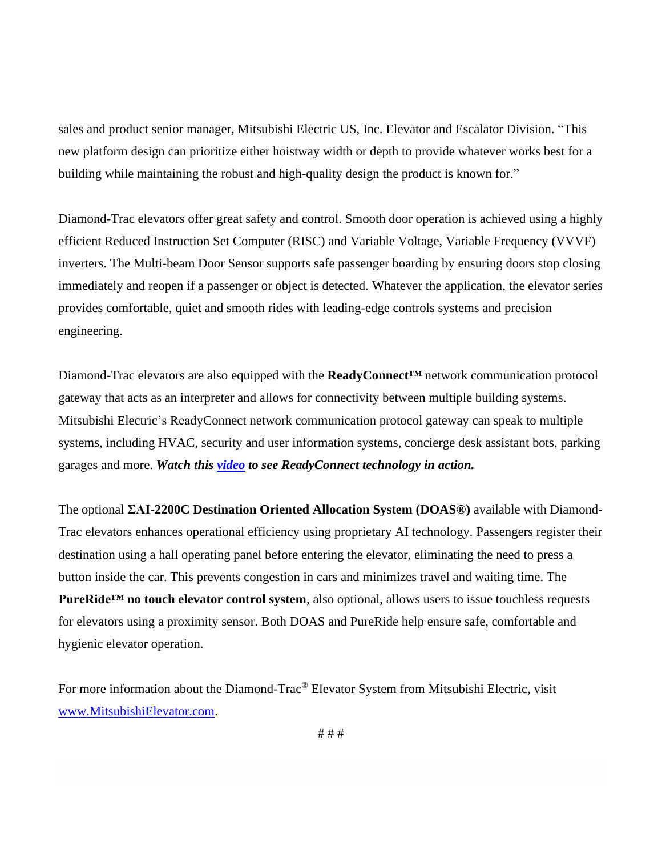sales and product senior manager, Mitsubishi Electric US, Inc. Elevator and Escalator Division. "This new platform design can prioritize either hoistway width or depth to provide whatever works best for a building while maintaining the robust and high-quality design the product is known for."

Diamond-Trac elevators offer great safety and control. Smooth door operation is achieved using a highly efficient Reduced Instruction Set Computer (RISC) and Variable Voltage, Variable Frequency (VVVF) inverters. The Multi-beam Door Sensor supports safe passenger boarding by ensuring doors stop closing immediately and reopen if a passenger or object is detected. Whatever the application, the elevator series provides comfortable, quiet and smooth rides with leading-edge controls systems and precision engineering.

Diamond-Trac elevators are also equipped with the **ReadyConnect™** network communication protocol gateway that acts as an interpreter and allows for connectivity between multiple building systems. Mitsubishi Electric's ReadyConnect network communication protocol gateway can speak to multiple systems, including HVAC, security and user information systems, concierge desk assistant bots, parking garages and more. *Watch this [video](https://youtu.be/BstInUYZdbs) to see ReadyConnect technology in action.*

The optional **ΣAI-2200C Destination Oriented Allocation System (DOAS®)** available with Diamond-Trac elevators enhances operational efficiency using proprietary AI technology. Passengers register their destination using a hall operating panel before entering the elevator, eliminating the need to press a button inside the car. This prevents congestion in cars and minimizes travel and waiting time. The **PureRide™ no touch elevator control system**, also optional, allows users to issue touchless requests for elevators using a proximity sensor. Both DOAS and PureRide help ensure safe, comfortable and hygienic elevator operation.

For more information about the Diamond-Trac® Elevator System from Mitsubishi Electric, visit [www.MitsubishiElevator.com.](http://www.mitsubishielevator.com/)